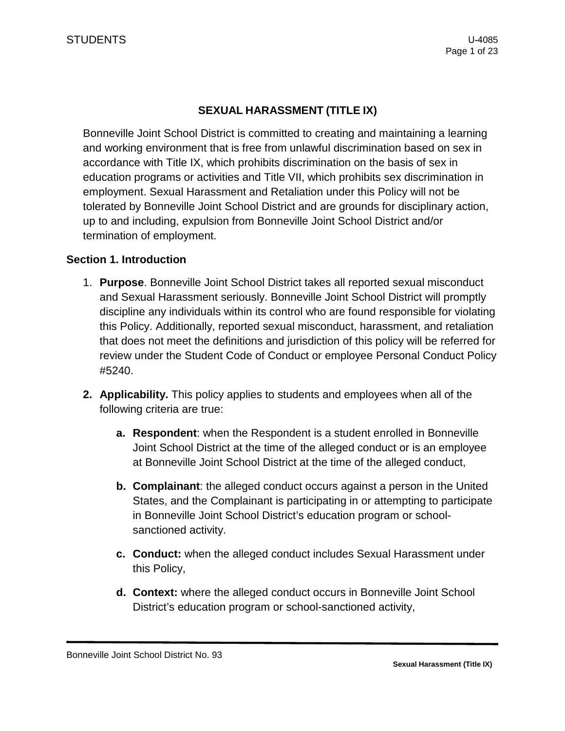# **SEXUAL HARASSMENT (TITLE IX)**

Bonneville Joint School District is committed to creating and maintaining a learning and working environment that is free from unlawful discrimination based on sex in accordance with Title IX, which prohibits discrimination on the basis of sex in education programs or activities and Title VII, which prohibits sex discrimination in employment. Sexual Harassment and Retaliation under this Policy will not be tolerated by Bonneville Joint School District and are grounds for disciplinary action, up to and including, expulsion from Bonneville Joint School District and/or termination of employment.

#### **Section 1. Introduction**

- 1. **Purpose**. Bonneville Joint School District takes all reported sexual misconduct and Sexual Harassment seriously. Bonneville Joint School District will promptly discipline any individuals within its control who are found responsible for violating this Policy. Additionally, reported sexual misconduct, harassment, and retaliation that does not meet the definitions and jurisdiction of this policy will be referred for review under the Student Code of Conduct or employee Personal Conduct Policy #5240.
- **2. Applicability.** This policy applies to students and employees when all of the following criteria are true:
	- **a. Respondent**: when the Respondent is a student enrolled in Bonneville Joint School District at the time of the alleged conduct or is an employee at Bonneville Joint School District at the time of the alleged conduct,
	- **b. Complainant**: the alleged conduct occurs against a person in the United States, and the Complainant is participating in or attempting to participate in Bonneville Joint School District's education program or schoolsanctioned activity.
	- **c. Conduct:** when the alleged conduct includes Sexual Harassment under this Policy,
	- **d. Context:** where the alleged conduct occurs in Bonneville Joint School District's education program or school-sanctioned activity,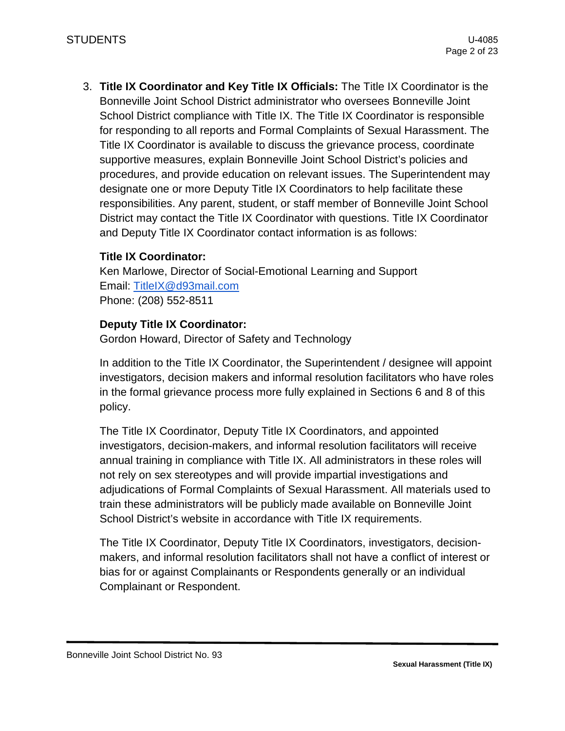3. **Title IX Coordinator and Key Title IX Officials:** The Title IX Coordinator is the Bonneville Joint School District administrator who oversees Bonneville Joint School District compliance with Title IX. The Title IX Coordinator is responsible for responding to all reports and Formal Complaints of Sexual Harassment. The Title IX Coordinator is available to discuss the grievance process, coordinate supportive measures, explain Bonneville Joint School District's policies and procedures, and provide education on relevant issues. The Superintendent may designate one or more Deputy Title IX Coordinators to help facilitate these responsibilities. Any parent, student, or staff member of Bonneville Joint School District may contact the Title IX Coordinator with questions. Title IX Coordinator and Deputy Title IX Coordinator contact information is as follows:

### **Title IX Coordinator:**

Ken Marlowe, Director of Social-Emotional Learning and Support Email: [TitleIX@d93mail.com](mailto:TitleIX@d93mail.com) Phone: (208) 552-8511

### **Deputy Title IX Coordinator:**

Gordon Howard, Director of Safety and Technology

In addition to the Title IX Coordinator, the Superintendent / designee will appoint investigators, decision makers and informal resolution facilitators who have roles in the formal grievance process more fully explained in Sections 6 and 8 of this policy.

The Title IX Coordinator, Deputy Title IX Coordinators, and appointed investigators, decision-makers, and informal resolution facilitators will receive annual training in compliance with Title IX. All administrators in these roles will not rely on sex stereotypes and will provide impartial investigations and adjudications of Formal Complaints of Sexual Harassment. All materials used to train these administrators will be publicly made available on Bonneville Joint School District's website in accordance with Title IX requirements.

The Title IX Coordinator, Deputy Title IX Coordinators, investigators, decisionmakers, and informal resolution facilitators shall not have a conflict of interest or bias for or against Complainants or Respondents generally or an individual Complainant or Respondent.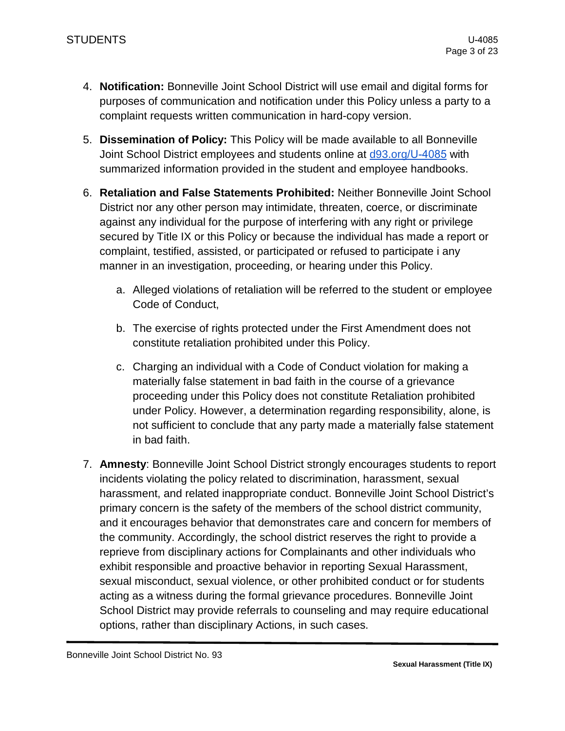- 4. **Notification:** Bonneville Joint School District will use email and digital forms for purposes of communication and notification under this Policy unless a party to a complaint requests written communication in hard-copy version.
- 5. **Dissemination of Policy:** This Policy will be made available to all Bonneville Joint School District employees and students online at [d93.org/](https://d93.org/U-4085)U-4085 with summarized information provided in the student and employee handbooks.
- 6. **Retaliation and False Statements Prohibited:** Neither Bonneville Joint School District nor any other person may intimidate, threaten, coerce, or discriminate against any individual for the purpose of interfering with any right or privilege secured by Title IX or this Policy or because the individual has made a report or complaint, testified, assisted, or participated or refused to participate i any manner in an investigation, proceeding, or hearing under this Policy.
	- a. Alleged violations of retaliation will be referred to the student or employee Code of Conduct,
	- b. The exercise of rights protected under the First Amendment does not constitute retaliation prohibited under this Policy.
	- c. Charging an individual with a Code of Conduct violation for making a materially false statement in bad faith in the course of a grievance proceeding under this Policy does not constitute Retaliation prohibited under Policy. However, a determination regarding responsibility, alone, is not sufficient to conclude that any party made a materially false statement in bad faith.
- 7. **Amnesty**: Bonneville Joint School District strongly encourages students to report incidents violating the policy related to discrimination, harassment, sexual harassment, and related inappropriate conduct. Bonneville Joint School District's primary concern is the safety of the members of the school district community, and it encourages behavior that demonstrates care and concern for members of the community. Accordingly, the school district reserves the right to provide a reprieve from disciplinary actions for Complainants and other individuals who exhibit responsible and proactive behavior in reporting Sexual Harassment, sexual misconduct, sexual violence, or other prohibited conduct or for students acting as a witness during the formal grievance procedures. Bonneville Joint School District may provide referrals to counseling and may require educational options, rather than disciplinary Actions, in such cases.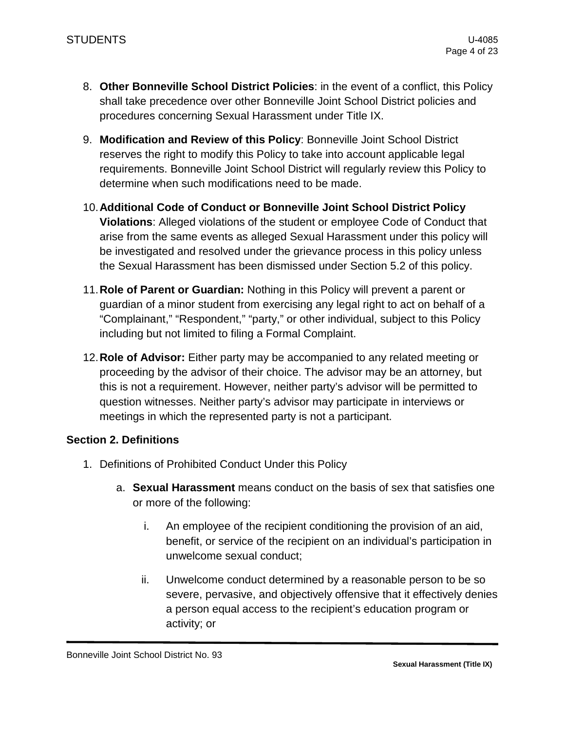- 8. **Other Bonneville School District Policies**: in the event of a conflict, this Policy shall take precedence over other Bonneville Joint School District policies and procedures concerning Sexual Harassment under Title IX.
- 9. **Modification and Review of this Policy**: Bonneville Joint School District reserves the right to modify this Policy to take into account applicable legal requirements. Bonneville Joint School District will regularly review this Policy to determine when such modifications need to be made.
- 10.**Additional Code of Conduct or Bonneville Joint School District Policy Violations**: Alleged violations of the student or employee Code of Conduct that arise from the same events as alleged Sexual Harassment under this policy will be investigated and resolved under the grievance process in this policy unless the Sexual Harassment has been dismissed under Section 5.2 of this policy.
- 11.**Role of Parent or Guardian:** Nothing in this Policy will prevent a parent or guardian of a minor student from exercising any legal right to act on behalf of a "Complainant," "Respondent," "party," or other individual, subject to this Policy including but not limited to filing a Formal Complaint.
- 12.**Role of Advisor:** Either party may be accompanied to any related meeting or proceeding by the advisor of their choice. The advisor may be an attorney, but this is not a requirement. However, neither party's advisor will be permitted to question witnesses. Neither party's advisor may participate in interviews or meetings in which the represented party is not a participant.

### **Section 2. Definitions**

- 1. Definitions of Prohibited Conduct Under this Policy
	- a. **Sexual Harassment** means conduct on the basis of sex that satisfies one or more of the following:
		- i. An employee of the recipient conditioning the provision of an aid, benefit, or service of the recipient on an individual's participation in unwelcome sexual conduct;
		- ii. Unwelcome conduct determined by a reasonable person to be so severe, pervasive, and objectively offensive that it effectively denies a person equal access to the recipient's education program or activity; or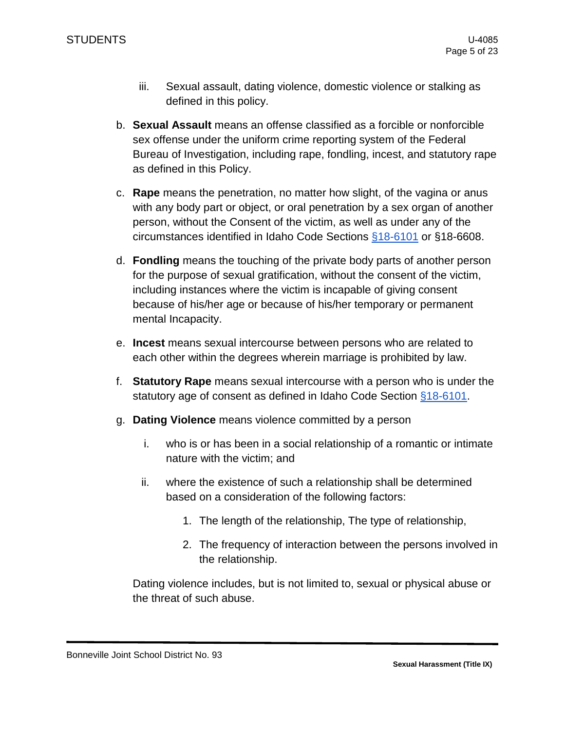- iii. Sexual assault, dating violence, domestic violence or stalking as defined in this policy.
- b. **Sexual Assault** means an offense classified as a forcible or nonforcible sex offense under the uniform crime reporting system of the Federal Bureau of Investigation, including rape, fondling, incest, and statutory rape as defined in this Policy.
- c. **Rape** means the penetration, no matter how slight, of the vagina or anus with any body part or object, or oral penetration by a sex organ of another person, without the Consent of the victim, as well as under any of the circumstances identified in Idaho Code Sections [§18-6101](https://legislature.idaho.gov/statutesrules/idstat/Title18/T18CH61/SECT18-6101/) or §18-6608.
- d. **Fondling** means the touching of the private body parts of another person for the purpose of sexual gratification, without the consent of the victim, including instances where the victim is incapable of giving consent because of his/her age or because of his/her temporary or permanent mental Incapacity.
- e. **Incest** means sexual intercourse between persons who are related to each other within the degrees wherein marriage is prohibited by law.
- f. **Statutory Rape** means sexual intercourse with a person who is under the statutory age of consent as defined in Idaho Code Section [§18-6101.](https://legislature.idaho.gov/statutesrules/idstat/Title18/T18CH61/SECT18-6101/)
- g. **Dating Violence** means violence committed by a person
	- i. who is or has been in a social relationship of a romantic or intimate nature with the victim; and
	- ii. where the existence of such a relationship shall be determined based on a consideration of the following factors:
		- 1. The length of the relationship, The type of relationship,
		- 2. The frequency of interaction between the persons involved in the relationship.

Dating violence includes, but is not limited to, sexual or physical abuse or the threat of such abuse.

Bonneville Joint School District No. 93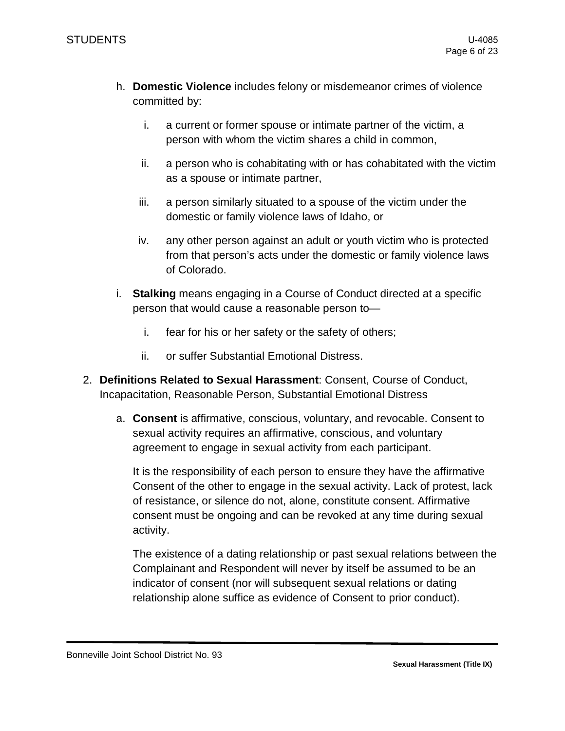- h. **Domestic Violence** includes felony or misdemeanor crimes of violence committed by:
	- i. a current or former spouse or intimate partner of the victim, a person with whom the victim shares a child in common,
	- ii. a person who is cohabitating with or has cohabitated with the victim as a spouse or intimate partner,
	- iii. a person similarly situated to a spouse of the victim under the domestic or family violence laws of Idaho, or
	- iv. any other person against an adult or youth victim who is protected from that person's acts under the domestic or family violence laws of Colorado.
- i. **Stalking** means engaging in a Course of Conduct directed at a specific person that would cause a reasonable person to
	- i. fear for his or her safety or the safety of others;
	- ii. or suffer Substantial Emotional Distress.
- 2. **Definitions Related to Sexual Harassment**: Consent, Course of Conduct, Incapacitation, Reasonable Person, Substantial Emotional Distress
	- a. **Consent** is affirmative, conscious, voluntary, and revocable. Consent to sexual activity requires an affirmative, conscious, and voluntary agreement to engage in sexual activity from each participant.

It is the responsibility of each person to ensure they have the affirmative Consent of the other to engage in the sexual activity. Lack of protest, lack of resistance, or silence do not, alone, constitute consent. Affirmative consent must be ongoing and can be revoked at any time during sexual activity.

The existence of a dating relationship or past sexual relations between the Complainant and Respondent will never by itself be assumed to be an indicator of consent (nor will subsequent sexual relations or dating relationship alone suffice as evidence of Consent to prior conduct).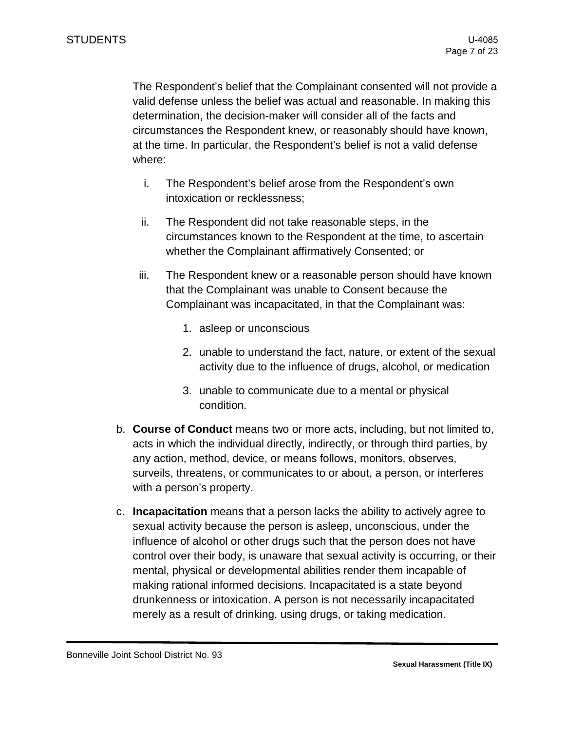The Respondent's belief that the Complainant consented will not provide a valid defense unless the belief was actual and reasonable. In making this determination, the decision-maker will consider all of the facts and circumstances the Respondent knew, or reasonably should have known, at the time. In particular, the Respondent's belief is not a valid defense where:

- i. The Respondent's belief arose from the Respondent's own intoxication or recklessness;
- ii. The Respondent did not take reasonable steps, in the circumstances known to the Respondent at the time, to ascertain whether the Complainant affirmatively Consented; or
- iii. The Respondent knew or a reasonable person should have known that the Complainant was unable to Consent because the Complainant was incapacitated, in that the Complainant was:
	- 1. asleep or unconscious
	- 2. unable to understand the fact, nature, or extent of the sexual activity due to the influence of drugs, alcohol, or medication
	- 3. unable to communicate due to a mental or physical condition.
- b. **Course of Conduct** means two or more acts, including, but not limited to, acts in which the individual directly, indirectly, or through third parties, by any action, method, device, or means follows, monitors, observes, surveils, threatens, or communicates to or about, a person, or interferes with a person's property.
- c. **Incapacitation** means that a person lacks the ability to actively agree to sexual activity because the person is asleep, unconscious, under the influence of alcohol or other drugs such that the person does not have control over their body, is unaware that sexual activity is occurring, or their mental, physical or developmental abilities render them incapable of making rational informed decisions. Incapacitated is a state beyond drunkenness or intoxication. A person is not necessarily incapacitated merely as a result of drinking, using drugs, or taking medication.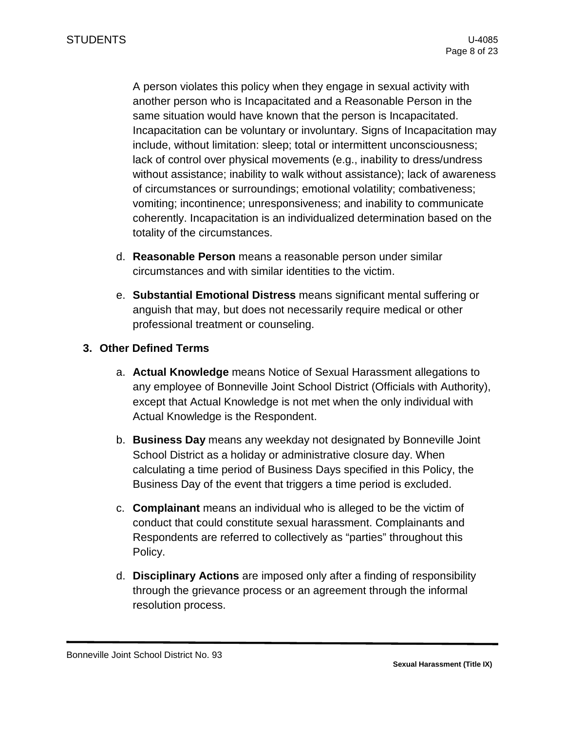A person violates this policy when they engage in sexual activity with another person who is Incapacitated and a Reasonable Person in the same situation would have known that the person is Incapacitated. Incapacitation can be voluntary or involuntary. Signs of Incapacitation may include, without limitation: sleep; total or intermittent unconsciousness; lack of control over physical movements (e.g., inability to dress/undress without assistance; inability to walk without assistance); lack of awareness of circumstances or surroundings; emotional volatility; combativeness; vomiting; incontinence; unresponsiveness; and inability to communicate coherently. Incapacitation is an individualized determination based on the totality of the circumstances.

- d. **Reasonable Person** means a reasonable person under similar circumstances and with similar identities to the victim.
- e. **Substantial Emotional Distress** means significant mental suffering or anguish that may, but does not necessarily require medical or other professional treatment or counseling.

### **3. Other Defined Terms**

- a. **Actual Knowledge** means Notice of Sexual Harassment allegations to any employee of Bonneville Joint School District (Officials with Authority), except that Actual Knowledge is not met when the only individual with Actual Knowledge is the Respondent.
- b. **Business Day** means any weekday not designated by Bonneville Joint School District as a holiday or administrative closure day. When calculating a time period of Business Days specified in this Policy, the Business Day of the event that triggers a time period is excluded.
- c. **Complainant** means an individual who is alleged to be the victim of conduct that could constitute sexual harassment. Complainants and Respondents are referred to collectively as "parties" throughout this Policy.
- d. **Disciplinary Actions** are imposed only after a finding of responsibility through the grievance process or an agreement through the informal resolution process.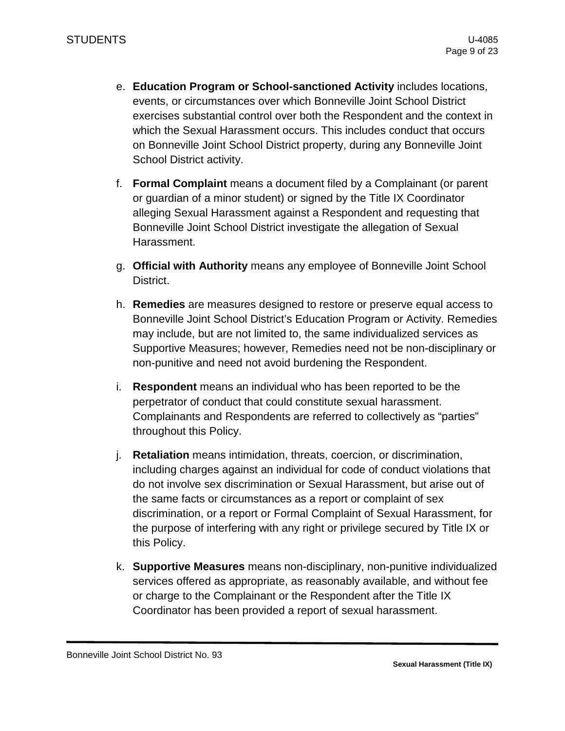- e. **Education Program or School-sanctioned Activity** includes locations, events, or circumstances over which Bonneville Joint School District exercises substantial control over both the Respondent and the context in which the Sexual Harassment occurs. This includes conduct that occurs on Bonneville Joint School District property, during any Bonneville Joint School District activity.
- f. **Formal Complaint** means a document filed by a Complainant (or parent or guardian of a minor student) or signed by the Title IX Coordinator alleging Sexual Harassment against a Respondent and requesting that Bonneville Joint School District investigate the allegation of Sexual Harassment.
- g. **Official with Authority** means any employee of Bonneville Joint School District.
- h. **Remedies** are measures designed to restore or preserve equal access to Bonneville Joint School District's Education Program or Activity. Remedies may include, but are not limited to, the same individualized services as Supportive Measures; however, Remedies need not be non-disciplinary or non-punitive and need not avoid burdening the Respondent.
- i. **Respondent** means an individual who has been reported to be the perpetrator of conduct that could constitute sexual harassment. Complainants and Respondents are referred to collectively as "parties" throughout this Policy.
- j. **Retaliation** means intimidation, threats, coercion, or discrimination, including charges against an individual for code of conduct violations that do not involve sex discrimination or Sexual Harassment, but arise out of the same facts or circumstances as a report or complaint of sex discrimination, or a report or Formal Complaint of Sexual Harassment, for the purpose of interfering with any right or privilege secured by Title IX or this Policy.
- k. **Supportive Measures** means non-disciplinary, non-punitive individualized services offered as appropriate, as reasonably available, and without fee or charge to the Complainant or the Respondent after the Title IX Coordinator has been provided a report of sexual harassment.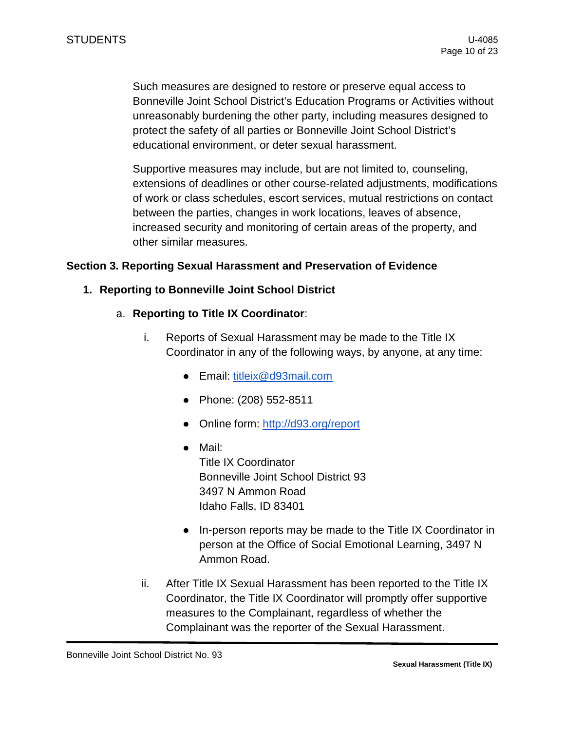Such measures are designed to restore or preserve equal access to Bonneville Joint School District's Education Programs or Activities without unreasonably burdening the other party, including measures designed to protect the safety of all parties or Bonneville Joint School District's educational environment, or deter sexual harassment.

Supportive measures may include, but are not limited to, counseling, extensions of deadlines or other course-related adjustments, modifications of work or class schedules, escort services, mutual restrictions on contact between the parties, changes in work locations, leaves of absence, increased security and monitoring of certain areas of the property, and other similar measures.

#### **Section 3. Reporting Sexual Harassment and Preservation of Evidence**

#### **1. Reporting to Bonneville Joint School District**

- a. **Reporting to Title IX Coordinator**:
	- i. Reports of Sexual Harassment may be made to the Title IX Coordinator in any of the following ways, by anyone, at any time:
		- Email: [titleix@d93mail.com](mailto:titleix@d93mail.com)
		- Phone: (208) 552-8511
		- Online form:<http://d93.org/report>
		- Mail: Title IX Coordinator Bonneville Joint School District 93 3497 N Ammon Road Idaho Falls, ID 83401
		- In-person reports may be made to the Title IX Coordinator in person at the Office of Social Emotional Learning, 3497 N Ammon Road.
	- ii. After Title IX Sexual Harassment has been reported to the Title IX Coordinator, the Title IX Coordinator will promptly offer supportive measures to the Complainant, regardless of whether the Complainant was the reporter of the Sexual Harassment.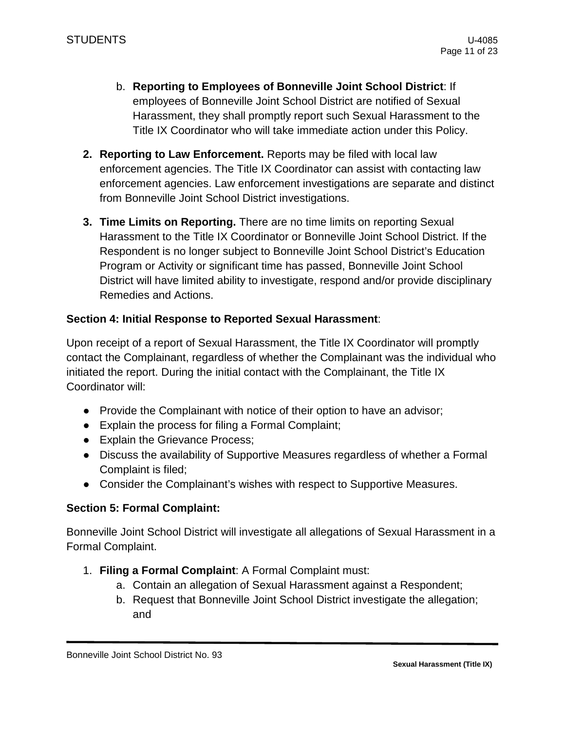- b. **Reporting to Employees of Bonneville Joint School District**: If employees of Bonneville Joint School District are notified of Sexual Harassment, they shall promptly report such Sexual Harassment to the Title IX Coordinator who will take immediate action under this Policy.
- **2. Reporting to Law Enforcement.** Reports may be filed with local law enforcement agencies. The Title IX Coordinator can assist with contacting law enforcement agencies. Law enforcement investigations are separate and distinct from Bonneville Joint School District investigations.
- **3. Time Limits on Reporting.** There are no time limits on reporting Sexual Harassment to the Title IX Coordinator or Bonneville Joint School District. If the Respondent is no longer subject to Bonneville Joint School District's Education Program or Activity or significant time has passed, Bonneville Joint School District will have limited ability to investigate, respond and/or provide disciplinary Remedies and Actions.

### **Section 4: Initial Response to Reported Sexual Harassment**:

Upon receipt of a report of Sexual Harassment, the Title IX Coordinator will promptly contact the Complainant, regardless of whether the Complainant was the individual who initiated the report. During the initial contact with the Complainant, the Title IX Coordinator will:

- Provide the Complainant with notice of their option to have an advisor;
- Explain the process for filing a Formal Complaint;
- Explain the Grievance Process;
- Discuss the availability of Supportive Measures regardless of whether a Formal Complaint is filed;
- Consider the Complainant's wishes with respect to Supportive Measures.

### **Section 5: Formal Complaint:**

Bonneville Joint School District will investigate all allegations of Sexual Harassment in a Formal Complaint.

- 1. **Filing a Formal Complaint**: A Formal Complaint must:
	- a. Contain an allegation of Sexual Harassment against a Respondent;
	- b. Request that Bonneville Joint School District investigate the allegation; and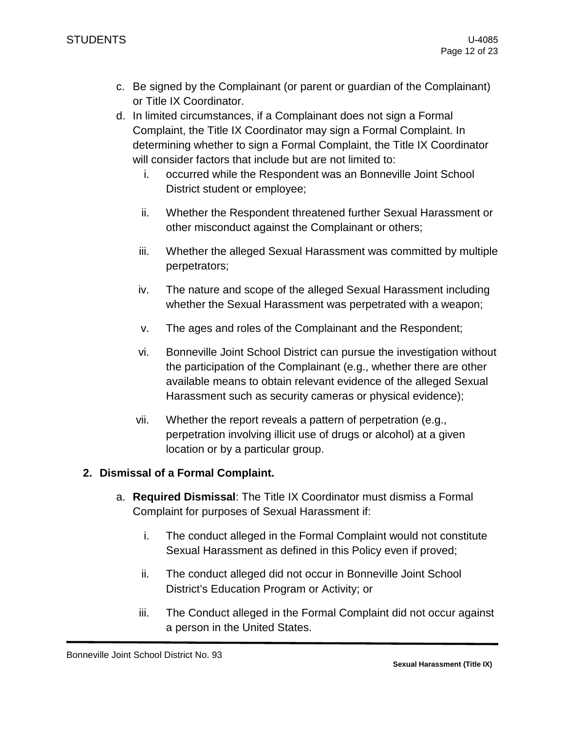- c. Be signed by the Complainant (or parent or guardian of the Complainant) or Title IX Coordinator.
- d. In limited circumstances, if a Complainant does not sign a Formal Complaint, the Title IX Coordinator may sign a Formal Complaint. In determining whether to sign a Formal Complaint, the Title IX Coordinator will consider factors that include but are not limited to:
	- i. occurred while the Respondent was an Bonneville Joint School District student or employee;
	- ii. Whether the Respondent threatened further Sexual Harassment or other misconduct against the Complainant or others;
	- iii. Whether the alleged Sexual Harassment was committed by multiple perpetrators;
	- iv. The nature and scope of the alleged Sexual Harassment including whether the Sexual Harassment was perpetrated with a weapon;
	- v. The ages and roles of the Complainant and the Respondent;
	- vi. Bonneville Joint School District can pursue the investigation without the participation of the Complainant (e.g., whether there are other available means to obtain relevant evidence of the alleged Sexual Harassment such as security cameras or physical evidence);
	- vii. Whether the report reveals a pattern of perpetration (e.g., perpetration involving illicit use of drugs or alcohol) at a given location or by a particular group.

# **2. Dismissal of a Formal Complaint.**

- a. **Required Dismissal**: The Title IX Coordinator must dismiss a Formal Complaint for purposes of Sexual Harassment if:
	- i. The conduct alleged in the Formal Complaint would not constitute Sexual Harassment as defined in this Policy even if proved;
	- ii. The conduct alleged did not occur in Bonneville Joint School District's Education Program or Activity; or
	- iii. The Conduct alleged in the Formal Complaint did not occur against a person in the United States.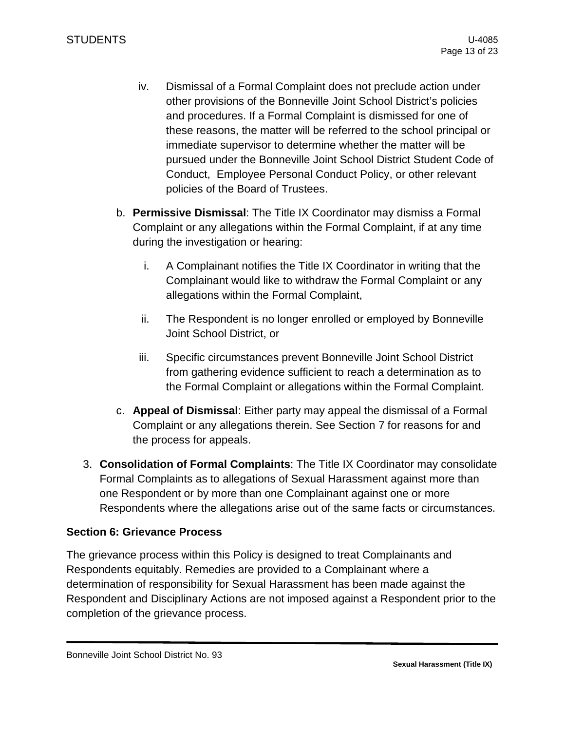- iv. Dismissal of a Formal Complaint does not preclude action under other provisions of the Bonneville Joint School District's policies and procedures. If a Formal Complaint is dismissed for one of these reasons, the matter will be referred to the school principal or immediate supervisor to determine whether the matter will be pursued under the Bonneville Joint School District Student Code of Conduct, Employee Personal Conduct Policy, or other relevant policies of the Board of Trustees.
- b. **Permissive Dismissal**: The Title IX Coordinator may dismiss a Formal Complaint or any allegations within the Formal Complaint, if at any time during the investigation or hearing:
	- i. A Complainant notifies the Title IX Coordinator in writing that the Complainant would like to withdraw the Formal Complaint or any allegations within the Formal Complaint,
	- ii. The Respondent is no longer enrolled or employed by Bonneville Joint School District, or
	- iii. Specific circumstances prevent Bonneville Joint School District from gathering evidence sufficient to reach a determination as to the Formal Complaint or allegations within the Formal Complaint.
- c. **Appeal of Dismissal**: Either party may appeal the dismissal of a Formal Complaint or any allegations therein. See Section 7 for reasons for and the process for appeals.
- 3. **Consolidation of Formal Complaints**: The Title IX Coordinator may consolidate Formal Complaints as to allegations of Sexual Harassment against more than one Respondent or by more than one Complainant against one or more Respondents where the allegations arise out of the same facts or circumstances.

# **Section 6: Grievance Process**

The grievance process within this Policy is designed to treat Complainants and Respondents equitably. Remedies are provided to a Complainant where a determination of responsibility for Sexual Harassment has been made against the Respondent and Disciplinary Actions are not imposed against a Respondent prior to the completion of the grievance process.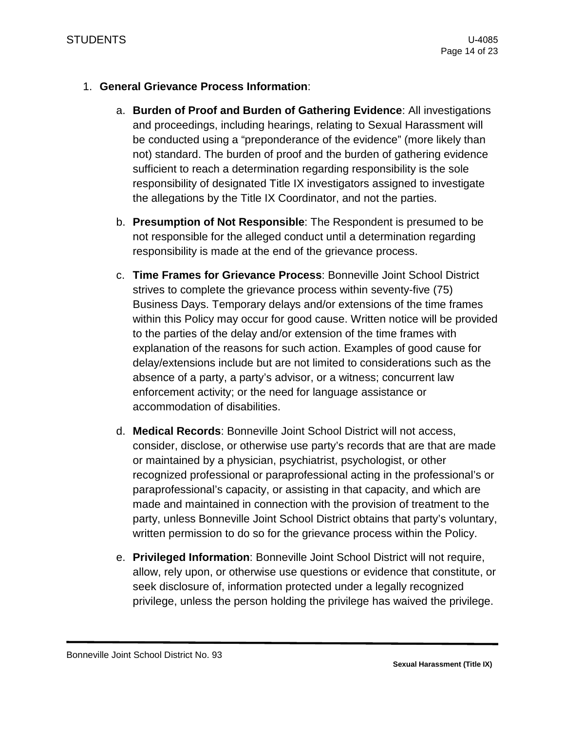### 1. **General Grievance Process Information**:

- a. **Burden of Proof and Burden of Gathering Evidence**: All investigations and proceedings, including hearings, relating to Sexual Harassment will be conducted using a "preponderance of the evidence" (more likely than not) standard. The burden of proof and the burden of gathering evidence sufficient to reach a determination regarding responsibility is the sole responsibility of designated Title IX investigators assigned to investigate the allegations by the Title IX Coordinator, and not the parties.
- b. **Presumption of Not Responsible**: The Respondent is presumed to be not responsible for the alleged conduct until a determination regarding responsibility is made at the end of the grievance process.
- c. **Time Frames for Grievance Process**: Bonneville Joint School District strives to complete the grievance process within seventy-five (75) Business Days. Temporary delays and/or extensions of the time frames within this Policy may occur for good cause. Written notice will be provided to the parties of the delay and/or extension of the time frames with explanation of the reasons for such action. Examples of good cause for delay/extensions include but are not limited to considerations such as the absence of a party, a party's advisor, or a witness; concurrent law enforcement activity; or the need for language assistance or accommodation of disabilities.
- d. **Medical Records**: Bonneville Joint School District will not access, consider, disclose, or otherwise use party's records that are that are made or maintained by a physician, psychiatrist, psychologist, or other recognized professional or paraprofessional acting in the professional's or paraprofessional's capacity, or assisting in that capacity, and which are made and maintained in connection with the provision of treatment to the party, unless Bonneville Joint School District obtains that party's voluntary, written permission to do so for the grievance process within the Policy.
- e. **Privileged Information**: Bonneville Joint School District will not require, allow, rely upon, or otherwise use questions or evidence that constitute, or seek disclosure of, information protected under a legally recognized privilege, unless the person holding the privilege has waived the privilege.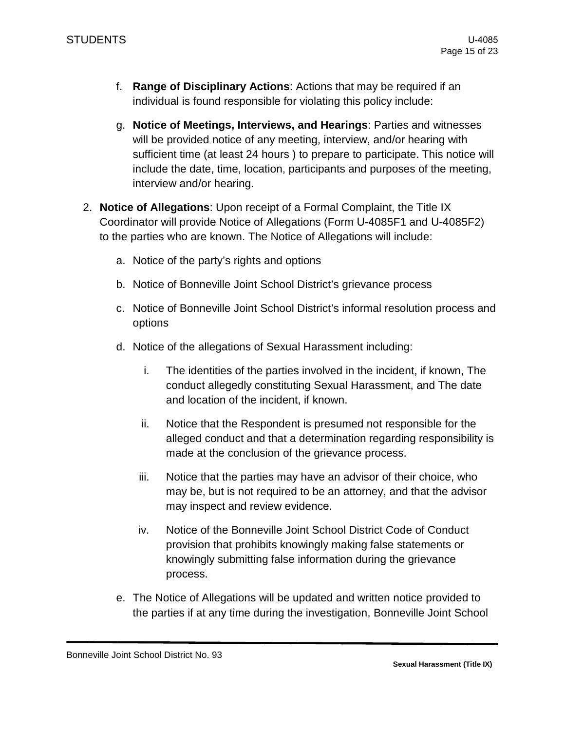- f. **Range of Disciplinary Actions**: Actions that may be required if an individual is found responsible for violating this policy include:
- g. **Notice of Meetings, Interviews, and Hearings**: Parties and witnesses will be provided notice of any meeting, interview, and/or hearing with sufficient time (at least 24 hours ) to prepare to participate. This notice will include the date, time, location, participants and purposes of the meeting, interview and/or hearing.
- 2. **Notice of Allegations**: Upon receipt of a Formal Complaint, the Title IX Coordinator will provide Notice of Allegations (Form U-4085F1 and U-4085F2) to the parties who are known. The Notice of Allegations will include:
	- a. Notice of the party's rights and options
	- b. Notice of Bonneville Joint School District's grievance process
	- c. Notice of Bonneville Joint School District's informal resolution process and options
	- d. Notice of the allegations of Sexual Harassment including:
		- i. The identities of the parties involved in the incident, if known, The conduct allegedly constituting Sexual Harassment, and The date and location of the incident, if known.
		- ii. Notice that the Respondent is presumed not responsible for the alleged conduct and that a determination regarding responsibility is made at the conclusion of the grievance process.
		- iii. Notice that the parties may have an advisor of their choice, who may be, but is not required to be an attorney, and that the advisor may inspect and review evidence.
		- iv. Notice of the Bonneville Joint School District Code of Conduct provision that prohibits knowingly making false statements or knowingly submitting false information during the grievance process.
	- e. The Notice of Allegations will be updated and written notice provided to the parties if at any time during the investigation, Bonneville Joint School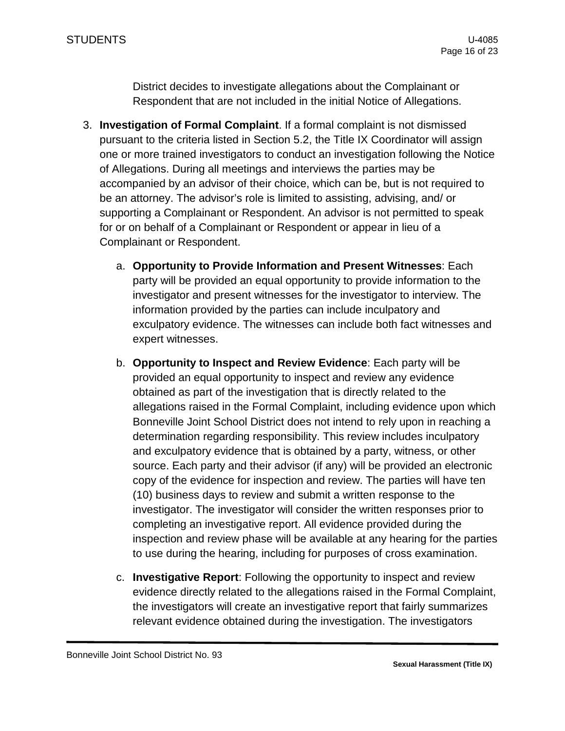District decides to investigate allegations about the Complainant or Respondent that are not included in the initial Notice of Allegations.

- 3. **Investigation of Formal Complaint**. If a formal complaint is not dismissed pursuant to the criteria listed in Section 5.2, the Title IX Coordinator will assign one or more trained investigators to conduct an investigation following the Notice of Allegations. During all meetings and interviews the parties may be accompanied by an advisor of their choice, which can be, but is not required to be an attorney. The advisor's role is limited to assisting, advising, and/ or supporting a Complainant or Respondent. An advisor is not permitted to speak for or on behalf of a Complainant or Respondent or appear in lieu of a Complainant or Respondent.
	- a. **Opportunity to Provide Information and Present Witnesses**: Each party will be provided an equal opportunity to provide information to the investigator and present witnesses for the investigator to interview. The information provided by the parties can include inculpatory and exculpatory evidence. The witnesses can include both fact witnesses and expert witnesses.
	- b. **Opportunity to Inspect and Review Evidence**: Each party will be provided an equal opportunity to inspect and review any evidence obtained as part of the investigation that is directly related to the allegations raised in the Formal Complaint, including evidence upon which Bonneville Joint School District does not intend to rely upon in reaching a determination regarding responsibility. This review includes inculpatory and exculpatory evidence that is obtained by a party, witness, or other source. Each party and their advisor (if any) will be provided an electronic copy of the evidence for inspection and review. The parties will have ten (10) business days to review and submit a written response to the investigator. The investigator will consider the written responses prior to completing an investigative report. All evidence provided during the inspection and review phase will be available at any hearing for the parties to use during the hearing, including for purposes of cross examination.
	- c. **Investigative Report**: Following the opportunity to inspect and review evidence directly related to the allegations raised in the Formal Complaint, the investigators will create an investigative report that fairly summarizes relevant evidence obtained during the investigation. The investigators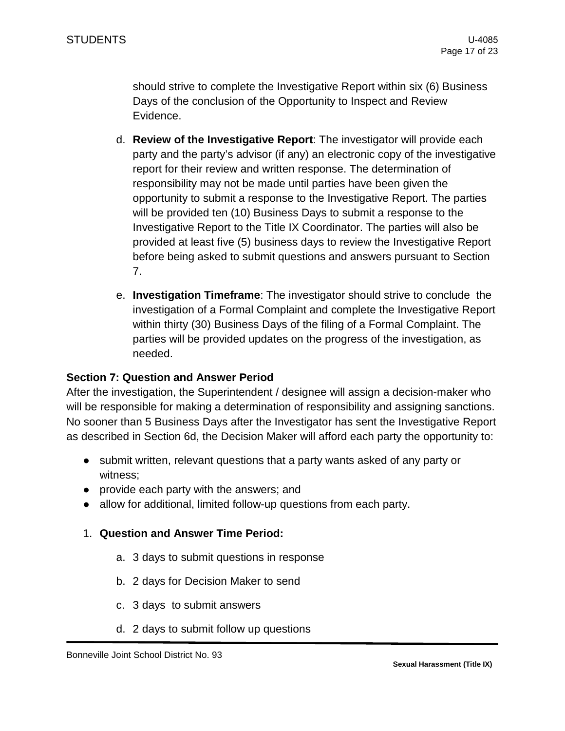should strive to complete the Investigative Report within six (6) Business Days of the conclusion of the Opportunity to Inspect and Review Evidence.

- d. **Review of the Investigative Report**: The investigator will provide each party and the party's advisor (if any) an electronic copy of the investigative report for their review and written response. The determination of responsibility may not be made until parties have been given the opportunity to submit a response to the Investigative Report. The parties will be provided ten (10) Business Days to submit a response to the Investigative Report to the Title IX Coordinator. The parties will also be provided at least five (5) business days to review the Investigative Report before being asked to submit questions and answers pursuant to Section 7.
- e. **Investigation Timeframe**: The investigator should strive to conclude the investigation of a Formal Complaint and complete the Investigative Report within thirty (30) Business Days of the filing of a Formal Complaint. The parties will be provided updates on the progress of the investigation, as needed.

### **Section 7: Question and Answer Period**

After the investigation, the Superintendent / designee will assign a decision-maker who will be responsible for making a determination of responsibility and assigning sanctions. No sooner than 5 Business Days after the Investigator has sent the Investigative Report as described in Section 6d, the Decision Maker will afford each party the opportunity to:

- submit written, relevant questions that a party wants asked of any party or witness;
- provide each party with the answers; and
- allow for additional, limited follow-up questions from each party.
- 1. **Question and Answer Time Period:**
	- a. 3 days to submit questions in response
	- b. 2 days for Decision Maker to send
	- c. 3 days to submit answers
	- d. 2 days to submit follow up questions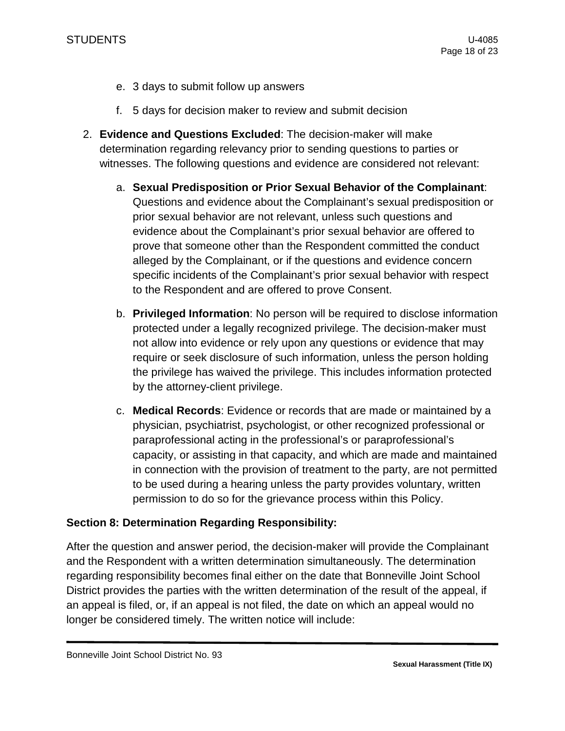- e. 3 days to submit follow up answers
- f. 5 days for decision maker to review and submit decision
- 2. **Evidence and Questions Excluded**: The decision-maker will make determination regarding relevancy prior to sending questions to parties or witnesses. The following questions and evidence are considered not relevant:
	- a. **Sexual Predisposition or Prior Sexual Behavior of the Complainant**: Questions and evidence about the Complainant's sexual predisposition or prior sexual behavior are not relevant, unless such questions and evidence about the Complainant's prior sexual behavior are offered to prove that someone other than the Respondent committed the conduct alleged by the Complainant, or if the questions and evidence concern specific incidents of the Complainant's prior sexual behavior with respect to the Respondent and are offered to prove Consent.
	- b. **Privileged Information**: No person will be required to disclose information protected under a legally recognized privilege. The decision-maker must not allow into evidence or rely upon any questions or evidence that may require or seek disclosure of such information, unless the person holding the privilege has waived the privilege. This includes information protected by the attorney-client privilege.
	- c. **Medical Records**: Evidence or records that are made or maintained by a physician, psychiatrist, psychologist, or other recognized professional or paraprofessional acting in the professional's or paraprofessional's capacity, or assisting in that capacity, and which are made and maintained in connection with the provision of treatment to the party, are not permitted to be used during a hearing unless the party provides voluntary, written permission to do so for the grievance process within this Policy.

# **Section 8: Determination Regarding Responsibility:**

After the question and answer period, the decision-maker will provide the Complainant and the Respondent with a written determination simultaneously. The determination regarding responsibility becomes final either on the date that Bonneville Joint School District provides the parties with the written determination of the result of the appeal, if an appeal is filed, or, if an appeal is not filed, the date on which an appeal would no longer be considered timely. The written notice will include: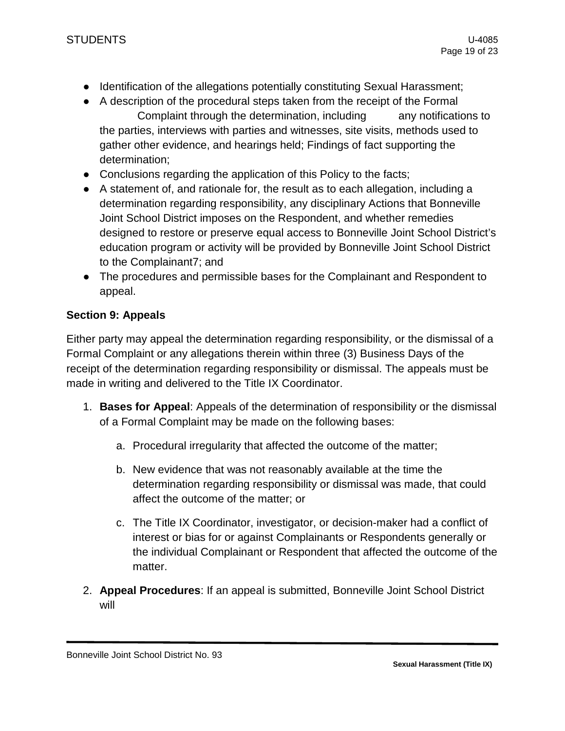- Identification of the allegations potentially constituting Sexual Harassment;
- A description of the procedural steps taken from the receipt of the Formal Complaint through the determination, including any notifications to the parties, interviews with parties and witnesses, site visits, methods used to gather other evidence, and hearings held; Findings of fact supporting the determination;
- Conclusions regarding the application of this Policy to the facts;
- A statement of, and rationale for, the result as to each allegation, including a determination regarding responsibility, any disciplinary Actions that Bonneville Joint School District imposes on the Respondent, and whether remedies designed to restore or preserve equal access to Bonneville Joint School District's education program or activity will be provided by Bonneville Joint School District to the Complainant7; and
- The procedures and permissible bases for the Complainant and Respondent to appeal.

# **Section 9: Appeals**

Either party may appeal the determination regarding responsibility, or the dismissal of a Formal Complaint or any allegations therein within three (3) Business Days of the receipt of the determination regarding responsibility or dismissal. The appeals must be made in writing and delivered to the Title IX Coordinator.

- 1. **Bases for Appeal**: Appeals of the determination of responsibility or the dismissal of a Formal Complaint may be made on the following bases:
	- a. Procedural irregularity that affected the outcome of the matter;
	- b. New evidence that was not reasonably available at the time the determination regarding responsibility or dismissal was made, that could affect the outcome of the matter; or
	- c. The Title IX Coordinator, investigator, or decision-maker had a conflict of interest or bias for or against Complainants or Respondents generally or the individual Complainant or Respondent that affected the outcome of the matter.
- 2. **Appeal Procedures**: If an appeal is submitted, Bonneville Joint School District will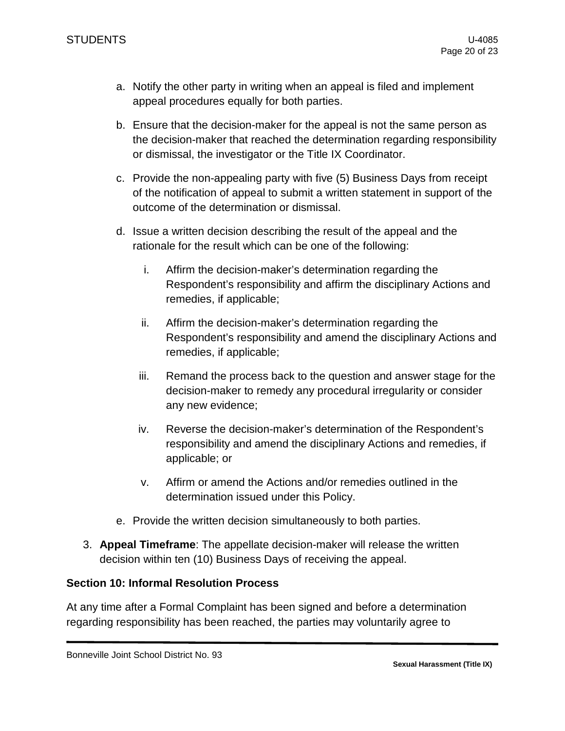- a. Notify the other party in writing when an appeal is filed and implement appeal procedures equally for both parties.
- b. Ensure that the decision-maker for the appeal is not the same person as the decision-maker that reached the determination regarding responsibility or dismissal, the investigator or the Title IX Coordinator.
- c. Provide the non-appealing party with five (5) Business Days from receipt of the notification of appeal to submit a written statement in support of the outcome of the determination or dismissal.
- d. Issue a written decision describing the result of the appeal and the rationale for the result which can be one of the following:
	- i. Affirm the decision-maker's determination regarding the Respondent's responsibility and affirm the disciplinary Actions and remedies, if applicable;
	- ii. Affirm the decision-maker's determination regarding the Respondent's responsibility and amend the disciplinary Actions and remedies, if applicable;
	- iii. Remand the process back to the question and answer stage for the decision-maker to remedy any procedural irregularity or consider any new evidence;
	- iv. Reverse the decision-maker's determination of the Respondent's responsibility and amend the disciplinary Actions and remedies, if applicable; or
	- v. Affirm or amend the Actions and/or remedies outlined in the determination issued under this Policy.
- e. Provide the written decision simultaneously to both parties.
- 3. **Appeal Timeframe**: The appellate decision-maker will release the written decision within ten (10) Business Days of receiving the appeal.

### **Section 10: Informal Resolution Process**

At any time after a Formal Complaint has been signed and before a determination regarding responsibility has been reached, the parties may voluntarily agree to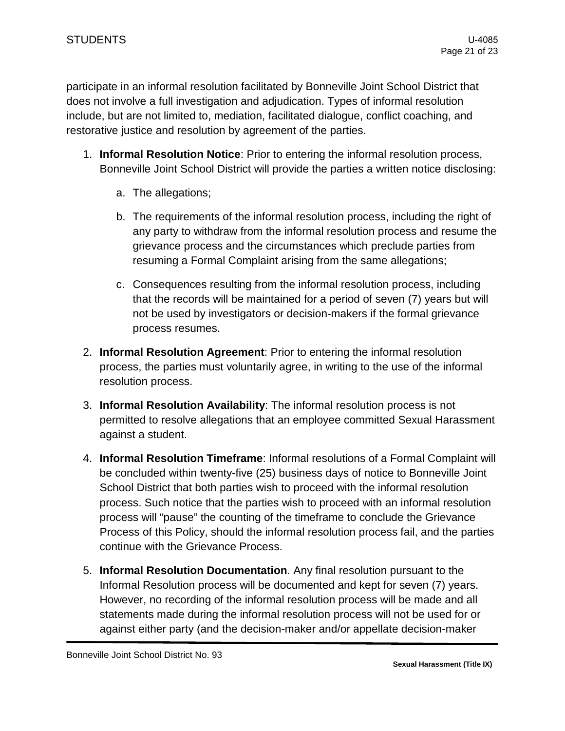participate in an informal resolution facilitated by Bonneville Joint School District that does not involve a full investigation and adjudication. Types of informal resolution include, but are not limited to, mediation, facilitated dialogue, conflict coaching, and restorative justice and resolution by agreement of the parties.

- 1. **Informal Resolution Notice**: Prior to entering the informal resolution process, Bonneville Joint School District will provide the parties a written notice disclosing:
	- a. The allegations;
	- b. The requirements of the informal resolution process, including the right of any party to withdraw from the informal resolution process and resume the grievance process and the circumstances which preclude parties from resuming a Formal Complaint arising from the same allegations;
	- c. Consequences resulting from the informal resolution process, including that the records will be maintained for a period of seven (7) years but will not be used by investigators or decision-makers if the formal grievance process resumes.
- 2. **Informal Resolution Agreement**: Prior to entering the informal resolution process, the parties must voluntarily agree, in writing to the use of the informal resolution process.
- 3. **Informal Resolution Availability**: The informal resolution process is not permitted to resolve allegations that an employee committed Sexual Harassment against a student.
- 4. **Informal Resolution Timeframe**: Informal resolutions of a Formal Complaint will be concluded within twenty-five (25) business days of notice to Bonneville Joint School District that both parties wish to proceed with the informal resolution process. Such notice that the parties wish to proceed with an informal resolution process will "pause" the counting of the timeframe to conclude the Grievance Process of this Policy, should the informal resolution process fail, and the parties continue with the Grievance Process.
- 5. **Informal Resolution Documentation**. Any final resolution pursuant to the Informal Resolution process will be documented and kept for seven (7) years. However, no recording of the informal resolution process will be made and all statements made during the informal resolution process will not be used for or against either party (and the decision-maker and/or appellate decision-maker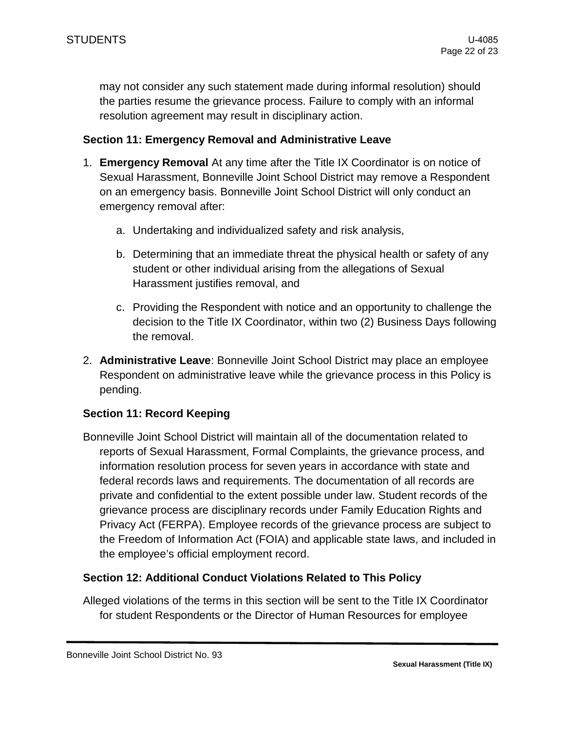may not consider any such statement made during informal resolution) should the parties resume the grievance process. Failure to comply with an informal resolution agreement may result in disciplinary action.

### **Section 11: Emergency Removal and Administrative Leave**

- 1. **Emergency Removal** At any time after the Title IX Coordinator is on notice of Sexual Harassment, Bonneville Joint School District may remove a Respondent on an emergency basis. Bonneville Joint School District will only conduct an emergency removal after:
	- a. Undertaking and individualized safety and risk analysis,
	- b. Determining that an immediate threat the physical health or safety of any student or other individual arising from the allegations of Sexual Harassment justifies removal, and
	- c. Providing the Respondent with notice and an opportunity to challenge the decision to the Title IX Coordinator, within two (2) Business Days following the removal.
- 2. **Administrative Leave**: Bonneville Joint School District may place an employee Respondent on administrative leave while the grievance process in this Policy is pending.

# **Section 11: Record Keeping**

Bonneville Joint School District will maintain all of the documentation related to reports of Sexual Harassment, Formal Complaints, the grievance process, and information resolution process for seven years in accordance with state and federal records laws and requirements. The documentation of all records are private and confidential to the extent possible under law. Student records of the grievance process are disciplinary records under Family Education Rights and Privacy Act (FERPA). Employee records of the grievance process are subject to the Freedom of Information Act (FOIA) and applicable state laws, and included in the employee's official employment record.

### **Section 12: Additional Conduct Violations Related to This Policy**

Alleged violations of the terms in this section will be sent to the Title IX Coordinator for student Respondents or the Director of Human Resources for employee